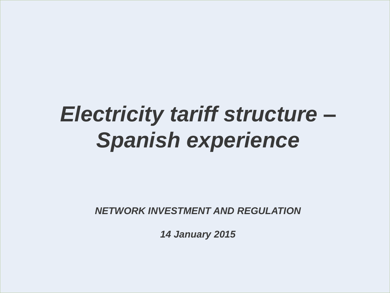# *Electricity tariff structure – Spanish experience*

*NETWORK INVESTMENT AND REGULATION*

*14 January 2015*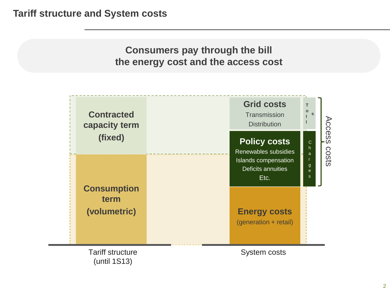## **Consumers pay through the bill the energy cost and the access cost**

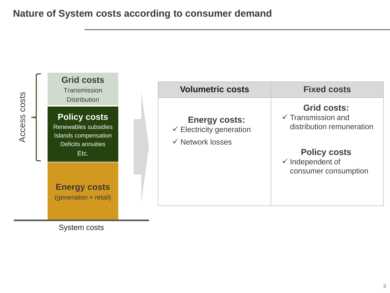

System costs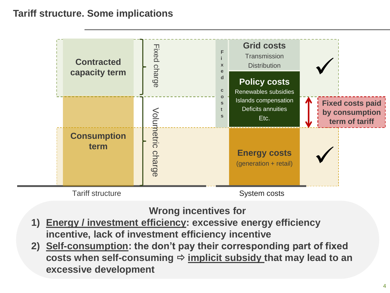## **Tariff structure. Some implications**



## **Wrong incentives for**

- **1) Energy / investment efficiency: excessive energy efficiency incentive, lack of investment efficiency incentive**
- **2) Self-consumption: the don't pay their corresponding part of fixed**  costs when self-consuming  $\Rightarrow$  implicit subsidy that may lead to an **excessive development**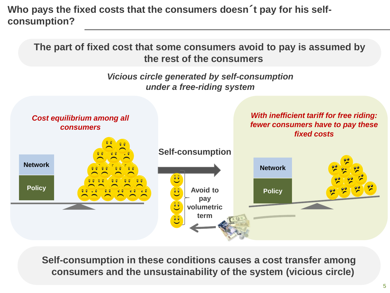**Who pays the fixed costs that the consumers doesn**´**t pay for his selfconsumption?** 

**The part of fixed cost that some consumers avoid to pay is assumed by the rest of the consumers**

> *Vicious circle generated by self-consumption under a free-riding system*



**Self-consumption in these conditions causes a cost transfer among consumers and the unsustainability of the system (vicious circle)**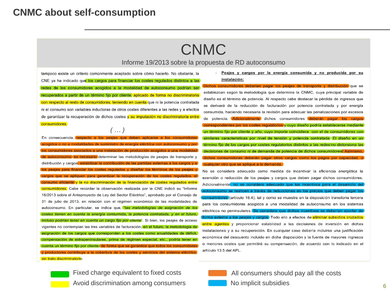## **CNMC about self-consumption**

## CNMC

### Informe 19/2013 sobre la propuesta de RD autoconsumo

tampoco existe un criterio comúnmente aceptado sobre cómo hacerlo. No obstante, la CNE va ha indicado que los cargos para financiar los costes regulados distintos a las redes de los consumidores acogidos a la modalidad de autoconsumo podrían ser recuperados a partir de un término fijo por cliente, aplicado de forma no discriminatoria con respecto al resto de consumidores, teniendo en cuenta que ni la potencia contratada ni el consumo son variables inductoras de otros costes diferentes a las redes y a efectos de garantizar la recuperación de dichos costes y su imputación no discriminatoria entre consumidores.

*( … )*

En consecuencia, respecto a los peajes que deben aplicarse a los consumidores modalidades de suministro de energía el consumo y por Dos consumidores asociados a una instalación de producción acogidos a una modalidad de autoconsumo, es necesario determinar las metodologías de peajes de transporte y distribución y cargos, estabilizar la contribución de las partidas externas a los cargos y a os de los peajes y costes regulados, el consumo eficiente y la no discriminación de la financiación de costes regulados entre consumidores. Cabe recordar la observación realizada por la CNE indicó su "Informe 16/2013 sobre el Anteproyecto de Ley del Sector Eléctrico", aprobado por el Consejo de 31 de julio de 2013, en relación con el régimen económico de las modalidades de autoconsumo. En particular, se indica que, "las metodologías de asignación de los costes tienen en cuenta la energía consumida, la potencia contratada, y en el futuro, *incluso podrían tener en cuenta un cargo fijo por cliente*". Si bien, los peajes de acceso vigentes no contemplan las tres variables de facturación, en el futuro, la metodología de asignación de los cargos que corresponden a los costes como anualidades de déficit, compensación de extrapeninsulares, prima de régimen especial, etc., podría tener en y productores contribuye a la cobertura de los costes y servicios del sistema eléctrico sin trato discriminatorio.

Avoid discrimination among consumers

Fixed charge equivalent to fixed costs

#### Peajes y cargos por la energía consumida y no producida por su instalación:

Dichos consumidores deberían pagar los peajes de transporte y distribución que se establezcan según la metodología que determine la CNMC, cuya principal variable de diseño es el término de potencia. Al respecto cabe destacar la pérdida de ingresos que se derivará de la reducción de facturación por potencia contratada y por energía consumida, haciendo necesaria la revisión para adecuar las penalizaciones por excesos de potencia. Adicionalmente dichos consumidores deberán pagar los cargos correspondientes por los costes regulatorios y cuyo diseño podría establecerse mediante un término fijo por cliente y año, cuyo importe coincidiera con el de consumidores con similares características por nivel de tensión y potencia contratada. El diseño en un término fijo de los cargos por costes regulatorios distintos a las redes no distorsiona las decisiones de consumo ni de demanda de potencia de dichos consumidores. Asimismo, dichos consumidores deberán pagar otros cargos como los pagos por capacidad, o cualquier otro que se aplique a la demanda.

No se considera adecuado como medida de incentivar la eficiencia energética la exención o reducción de los peajes y cargos que deben pagar dichos consumidores. Adicionalmente, no se considera adecuado que los incentivos para el desarrollo del autoconsumo se realicen a través de reducciones en los precios que deben pagar los consumidores (artículo 16.4), tal y como se muestra en la disposición transitoria tercera para los consumidores acogidos a una modalidad de autoconsumo en los sistemas eléctricos no peninsulares. Se considera que dichos incentivos se deberían aportar de forma externa a los peajes y cargos. Todo ello a efectos de eliminar subsidios cruzados entre agentes y proporcionar estabilidad a las decisiones de inversión en dichas instalaciones y a su recuperación. En cualquier caso debería incluirse una justificación económica del descuento incluido en dicha disposición y la fuente de mayores ingresos o menores costes que permitirá su compensación, de acuerdo con lo indicado en el artículo 13.5 del APL.



All consumers should pay all the costs

### No implicit subsidies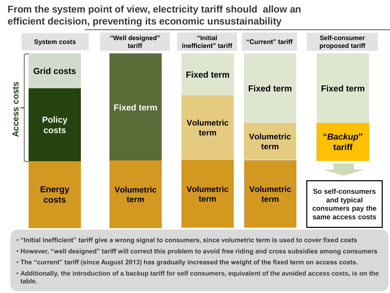**From the system point of view, electricity tariff should allow an efficient decision, preventing its economic unsustainability**



- **"Initial inefficient" tariff give a wrong signal to consumers, since volumetric term is used to cover fixed costs**
- **However, "well designed" tariff will correct this problem to avoid free riding and cross subsidies among consumers**
- **The "current" tariff (since August 2013) has gradually increased the weight of the fixed term on access costs.**
- **Additionally, the introduction of a backup tariff for self consumers, equivalent of the avoided access costs, is on the table.**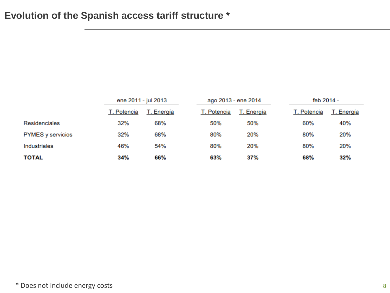## **Evolution of the Spanish access tariff structure \***

|                          | ene 2011 - jul 2013 |            | ago 2013 - ene 2014 |             | feb 2014 - |             |            |
|--------------------------|---------------------|------------|---------------------|-------------|------------|-------------|------------|
|                          | T. Potencia         | T. Energía |                     | T. Potencia | T. Energía | T. Potencia | T. Energía |
| Residenciales            | 32%                 | 68%        |                     | 50%         | 50%        | 60%         | 40%        |
| <b>PYMES</b> y servicios | 32%                 | 68%        |                     | 80%         | 20%        | 80%         | 20%        |
| Industriales             | 46%                 | 54%        |                     | 80%         | 20%        | 80%         | 20%        |
| <b>TOTAL</b>             | 34%                 | 66%        |                     | 63%         | 37%        | 68%         | 32%        |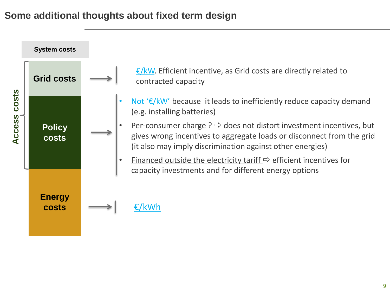